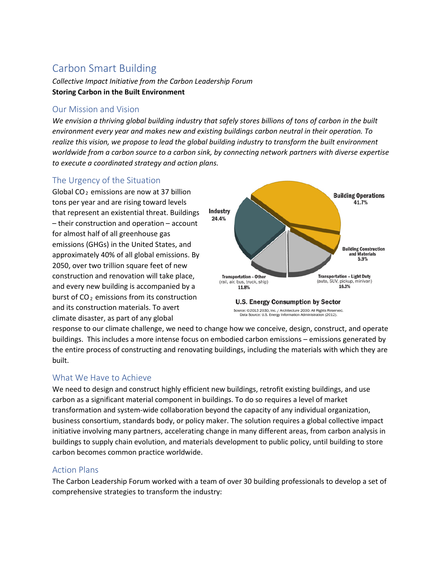# Carbon Smart Building

*Collective Impact Initiative from the Carbon Leadership Forum* **Storing Carbon in the Built Environment**

## Our Mission and Vision

*We envision a thriving global building industry that safely stores billions of tons of carbon in the built environment every year and makes new and existing buildings carbon neutral in their operation. To realize this vision, we propose to lead the global building industry to transform the built environment worldwide from a carbon source to a carbon sink, by connecting network partners with diverse expertise to execute a coordinated strategy and action plans.*

# The Urgency of the Situation

Global CO<sub>2</sub> emissions are now at 37 billion tons per year and are rising toward levels that represent an existential threat. Buildings – their construction and operation – account for almost half of all greenhouse gas emissions (GHGs) in the United States, and approximately 40% of all global emissions. By 2050, over two trillion square feet of new construction and renovation will take place, and every new building is accompanied by a burst of  $CO<sub>2</sub>$  emissions from its construction and its construction materials. To avert climate disaster, as part of any global





response to our climate challenge, we need to change how we conceive, design, construct, and operate buildings. This includes a more intense focus on embodied carbon emissions – emissions generated by the entire process of constructing and renovating buildings, including the materials with which they are built.

# What We Have to Achieve

We need to design and construct highly efficient new buildings, retrofit existing buildings, and use carbon as a significant material component in buildings. To do so requires a level of market transformation and system-wide collaboration beyond the capacity of any individual organization, business consortium, standards body, or policy maker. The solution requires a global collective impact initiative involving many partners, accelerating change in many different areas, from carbon analysis in buildings to supply chain evolution, and materials development to public policy, until building to store carbon becomes common practice worldwide.

#### Action Plans

The Carbon Leadership Forum worked with a team of over 30 building professionals to develop a set of comprehensive strategies to transform the industry: